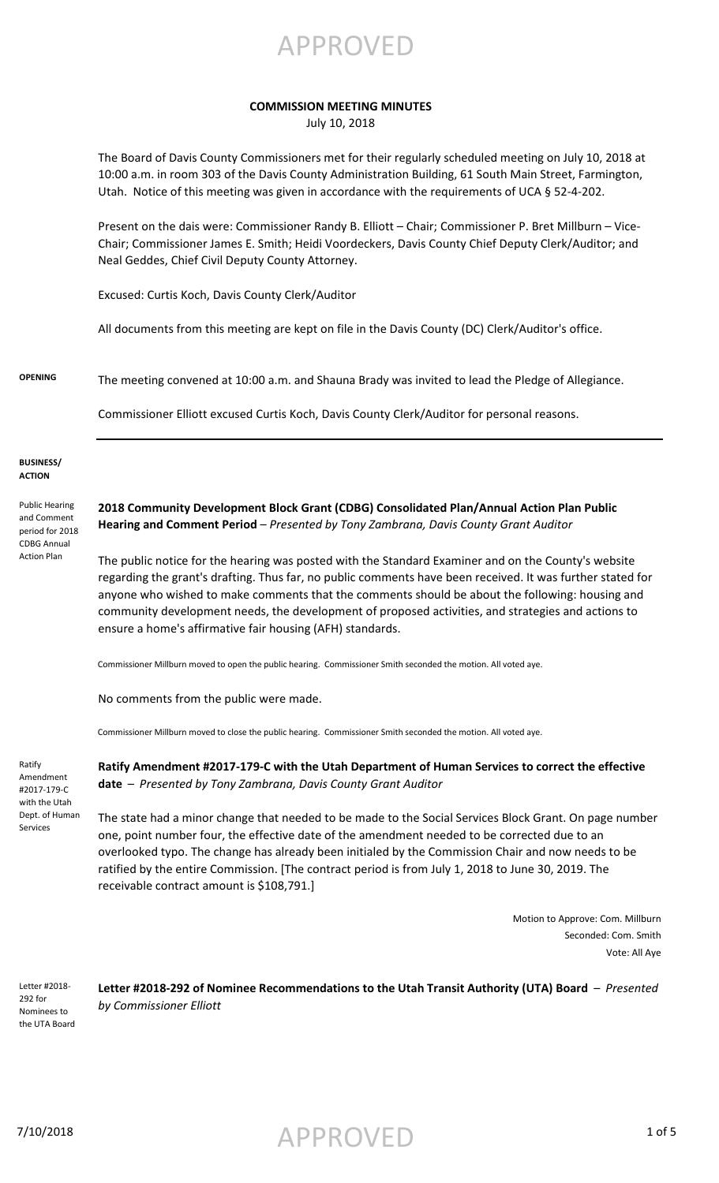APPROVED

### **COMMISSION MEETING MINUTES**

July 10, 2018

The Board of Davis County Commissioners met for their regularly scheduled meeting on July 10, 2018 at 10:00 a.m. in room 303 of the Davis County Administration Building, 61 South Main Street, Farmington, Utah. Notice of this meeting was given in accordance with the requirements of UCA § 52-4-202.

Present on the dais were: Commissioner Randy B. Elliott – Chair; Commissioner P. Bret Millburn – Vice-Chair; Commissioner James E. Smith; Heidi Voordeckers, Davis County Chief Deputy Clerk/Auditor; and Neal Geddes, Chief Civil Deputy County Attorney.

Excused: Curtis Koch, Davis County Clerk/Auditor

All documents from this meeting are kept on file in the Davis County (DC) Clerk/Auditor's office.

**OPENING** The meeting convened at 10:00 a.m. and Shauna Brady was invited to lead the Pledge of Allegiance.

Commissioner Elliott excused Curtis Koch, Davis County Clerk/Auditor for personal reasons.

#### **BUSINESS/ ACTION**

Public Hearing and Comment period for 2018 CDBG Annual Action Plan

**2018 Community Development Block Grant (CDBG) Consolidated Plan/Annual Action Plan Public Hearing and Comment Period** – *Presented by Tony Zambrana, Davis County Grant Auditor*

The public notice for the hearing was posted with the Standard Examiner and on the County's website regarding the grant's drafting. Thus far, no public comments have been received. It was further stated for anyone who wished to make comments that the comments should be about the following: housing and community development needs, the development of proposed activities, and strategies and actions to ensure a home's affirmative fair housing (AFH) standards.

Commissioner Millburn moved to open the public hearing. Commissioner Smith seconded the motion. All voted aye.

No comments from the public were made.

Commissioner Millburn moved to close the public hearing. Commissioner Smith seconded the motion. All voted aye.

Ratify Amendment #2017-179-C with the Utah Dept. of Human Services

**Ratify Amendment #2017-179-C with the Utah Department of Human Services to correct the effective date** – *Presented by Tony Zambrana, Davis County Grant Auditor*

The state had a minor change that needed to be made to the Social Services Block Grant. On page number one, point number four, the effective date of the amendment needed to be corrected due to an overlooked typo. The change has already been initialed by the Commission Chair and now needs to be ratified by the entire Commission. [The contract period is from July 1, 2018 to June 30, 2019. The receivable contract amount is \$108,791.]

> Motion to Approve: Com. Millburn Seconded: Com. Smith Vote: All Aye

Letter #2018- 292 for Nominees to the UTA Board

**Letter #2018-292 of Nominee Recommendations to the Utah Transit Authority (UTA) Board** – *Presented by Commissioner Elliott*

7/10/2018 APPROVED 1 of 5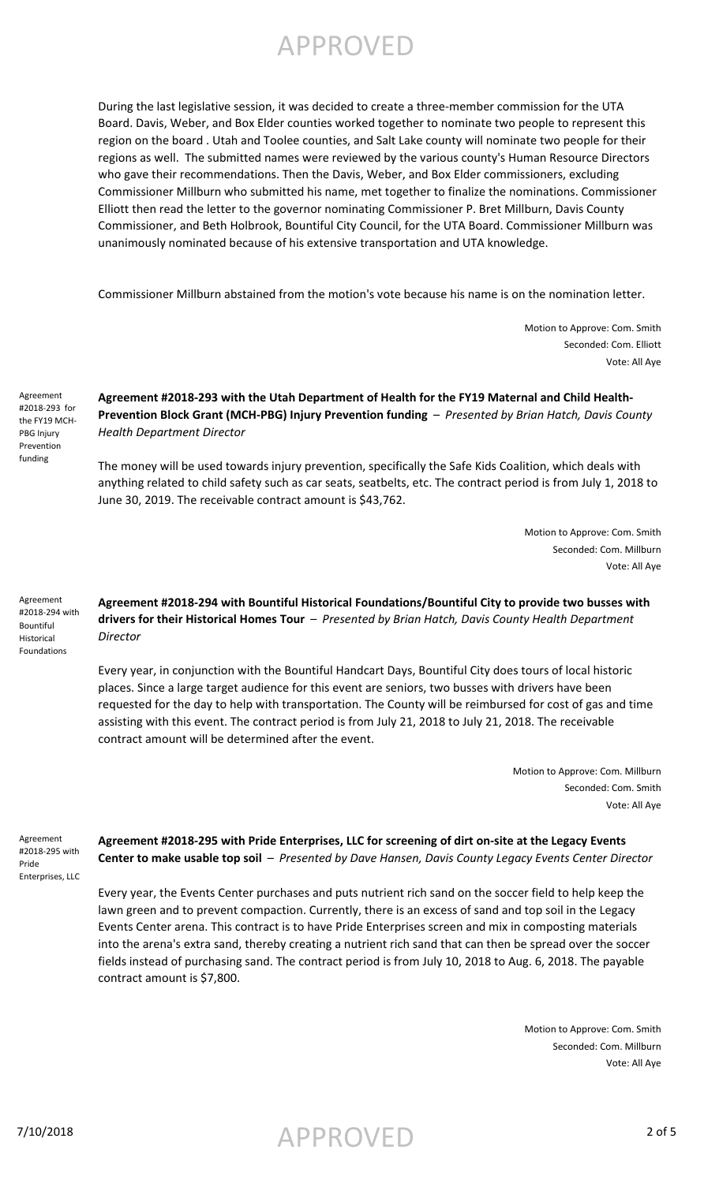## APPROVED

During the last legislative session, it was decided to create a three-member commission for the UTA Board. Davis, Weber, and Box Elder counties worked together to nominate two people to represent this region on the board . Utah and Toolee counties, and Salt Lake county will nominate two people for their regions as well. The submitted names were reviewed by the various county's Human Resource Directors who gave their recommendations. Then the Davis, Weber, and Box Elder commissioners, excluding Commissioner Millburn who submitted his name, met together to finalize the nominations. Commissioner Elliott then read the letter to the governor nominating Commissioner P. Bret Millburn, Davis County Commissioner, and Beth Holbrook, Bountiful City Council, for the UTA Board. Commissioner Millburn was unanimously nominated because of his extensive transportation and UTA knowledge.

Commissioner Millburn abstained from the motion's vote because his name is on the nomination letter.

Motion to Approve: Com. Smith Seconded: Com. Elliott Vote: All Aye

Agreement #2018-293 for the FY19 MCH-PBG Injury Prevention funding

## **Agreement #2018-293 with the Utah Department of Health for the FY19 Maternal and Child Health-Prevention Block Grant (MCH-PBG) Injury Prevention funding** – *Presented by Brian Hatch, Davis County Health Department Director*

The money will be used towards injury prevention, specifically the Safe Kids Coalition, which deals with anything related to child safety such as car seats, seatbelts, etc. The contract period is from July 1, 2018 to June 30, 2019. The receivable contract amount is \$43,762.

> Motion to Approve: Com. Smith Seconded: Com. Millburn Vote: All Aye

Agreement #2018-294 with Bountiful Historical Foundations

## **Agreement #2018-294 with Bountiful Historical Foundations/Bountiful City to provide two busses with drivers for their Historical Homes Tour** – *Presented by Brian Hatch, Davis County Health Department Director*

Every year, in conjunction with the Bountiful Handcart Days, Bountiful City does tours of local historic places. Since a large target audience for this event are seniors, two busses with drivers have been requested for the day to help with transportation. The County will be reimbursed for cost of gas and time assisting with this event. The contract period is from July 21, 2018 to July 21, 2018. The receivable contract amount will be determined after the event.

> Motion to Approve: Com. Millburn Seconded: Com. Smith Vote: All Aye

Agreement #2018-295 with Pride Enterprises, LLC

**Agreement #2018-295 with Pride Enterprises, LLC for screening of dirt on-site at the Legacy Events Center to make usable top soil** – *Presented by Dave Hansen, Davis County Legacy Events Center Director*

Every year, the Events Center purchases and puts nutrient rich sand on the soccer field to help keep the lawn green and to prevent compaction. Currently, there is an excess of sand and top soil in the Legacy Events Center arena. This contract is to have Pride Enterprises screen and mix in composting materials into the arena's extra sand, thereby creating a nutrient rich sand that can then be spread over the soccer fields instead of purchasing sand. The contract period is from July 10, 2018 to Aug. 6, 2018. The payable contract amount is \$7,800.

> Motion to Approve: Com. Smith Seconded: Com. Millburn Vote: All Aye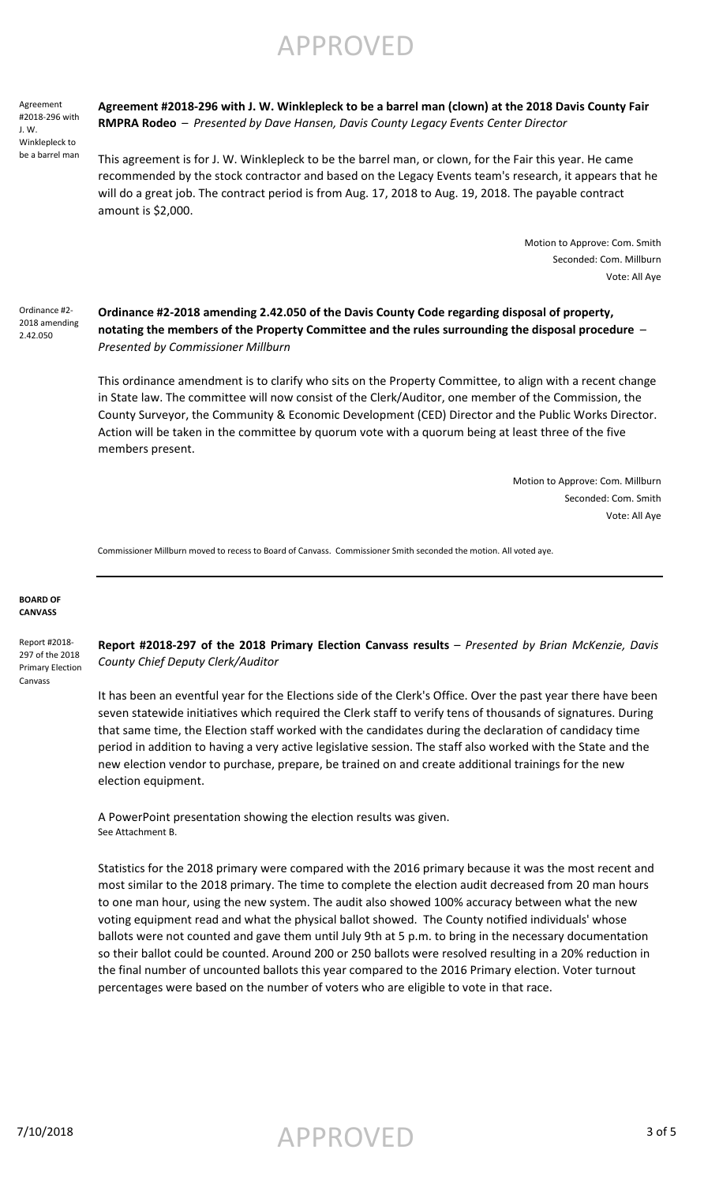APPROVED

Agreement #2018-296 with J. W. Winklepleck to be a barrel man **Agreement #2018-296 with J. W. Winklepleck to be a barrel man (clown) at the 2018 Davis County Fair RMPRA Rodeo** – *Presented by Dave Hansen, Davis County Legacy Events Center Director*

This agreement is for J. W. Winklepleck to be the barrel man, or clown, for the Fair this year. He came recommended by the stock contractor and based on the Legacy Events team's research, it appears that he will do a great job. The contract period is from Aug. 17, 2018 to Aug. 19, 2018. The payable contract amount is \$2,000.

> Motion to Approve: Com. Smith Seconded: Com. Millburn Vote: All Aye

Ordinance #2- 2018 amending 2.42.050

**Ordinance #2-2018 amending 2.42.050 of the Davis County Code regarding disposal of property, notating the members of the Property Committee and the rules surrounding the disposal procedure** – *Presented by Commissioner Millburn*

This ordinance amendment is to clarify who sits on the Property Committee, to align with a recent change in State law. The committee will now consist of the Clerk/Auditor, one member of the Commission, the County Surveyor, the Community & Economic Development (CED) Director and the Public Works Director. Action will be taken in the committee by quorum vote with a quorum being at least three of the five members present.

> Motion to Approve: Com. Millburn Seconded: Com. Smith Vote: All Aye

Commissioner Millburn moved to recess to Board of Canvass. Commissioner Smith seconded the motion. All voted aye.

#### **BOARD OF CANVASS**

Report #2018- 297 of the 2018 Primary Election Canvass

**Report #2018-297 of the 2018 Primary Election Canvass results** – *Presented by Brian McKenzie, Davis County Chief Deputy Clerk/Auditor* 

It has been an eventful year for the Elections side of the Clerk's Office. Over the past year there have been seven statewide initiatives which required the Clerk staff to verify tens of thousands of signatures. During that same time, the Election staff worked with the candidates during the declaration of candidacy time period in addition to having a very active legislative session. The staff also worked with the State and the new election vendor to purchase, prepare, be trained on and create additional trainings for the new election equipment.

A PowerPoint presentation showing the election results was given. See Attachment B.

Statistics for the 2018 primary were compared with the 2016 primary because it was the most recent and most similar to the 2018 primary. The time to complete the election audit decreased from 20 man hours to one man hour, using the new system. The audit also showed 100% accuracy between what the new voting equipment read and what the physical ballot showed. The County notified individuals' whose ballots were not counted and gave them until July 9th at 5 p.m. to bring in the necessary documentation so their ballot could be counted. Around 200 or 250 ballots were resolved resulting in a 20% reduction in the final number of uncounted ballots this year compared to the 2016 Primary election. Voter turnout percentages were based on the number of voters who are eligible to vote in that race.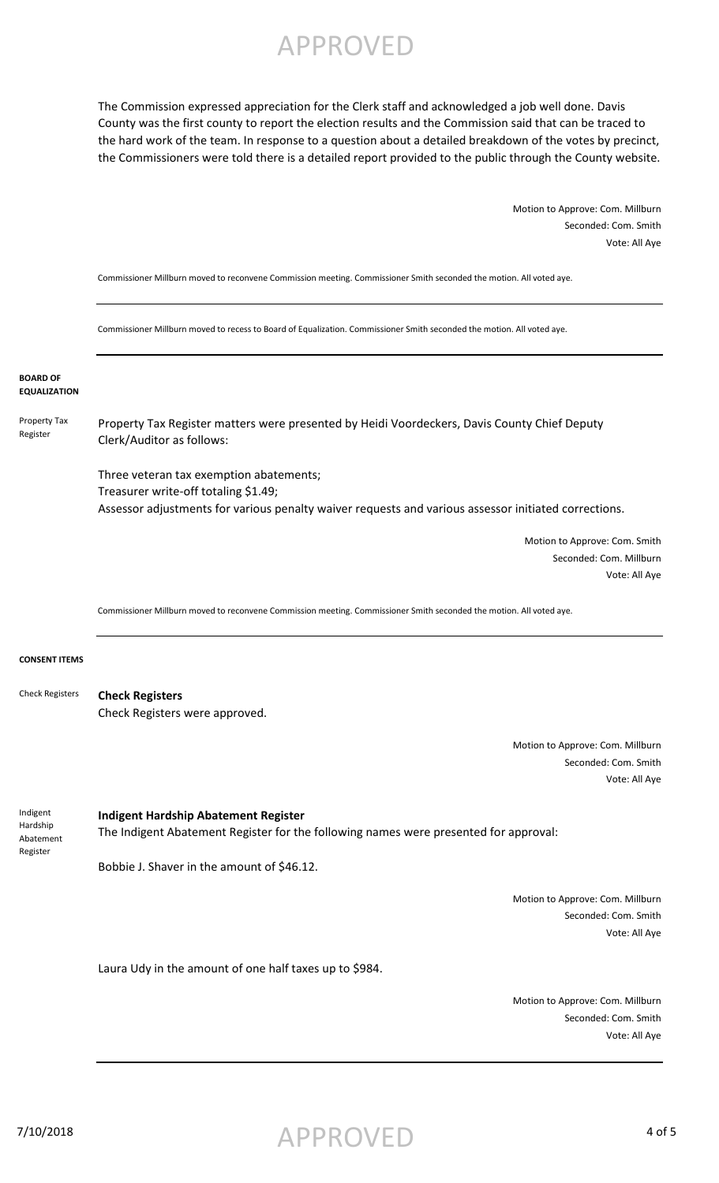APPROVED

The Commission expressed appreciation for the Clerk staff and acknowledged a job well done. Davis County was the first county to report the election results and the Commission said that can be traced to the hard work of the team. In response to a question about a detailed breakdown of the votes by precinct, the Commissioners were told there is a detailed report provided to the public through the County website.

> Motion to Approve: Com. Millburn Seconded: Com. Smith Vote: All Aye

Commissioner Millburn moved to reconvene Commission meeting. Commissioner Smith seconded the motion. All voted aye.

Commissioner Millburn moved to recess to Board of Equalization. Commissioner Smith seconded the motion. All voted aye.

**BOARD OF EQUALIZATION**

Property Tax Register Property Tax Register matters were presented by Heidi Voordeckers, Davis County Chief Deputy Clerk/Auditor as follows:

> Three veteran tax exemption abatements; Treasurer write-off totaling \$1.49; Assessor adjustments for various penalty waiver requests and various assessor initiated corrections.

> > Motion to Approve: Com. Smith Seconded: Com. Millburn Vote: All Aye

Commissioner Millburn moved to reconvene Commission meeting. Commissioner Smith seconded the motion. All voted aye.

#### **CONSENT ITEMS**

Indigent Hardship

Register

**Check Registers** Check Registers were approved. Check Registers

> Motion to Approve: Com. Millburn Seconded: Com. Smith Vote: All Aye

**Indigent Hardship Abatement Register** The Indigent Abatement Register for the following names were presented for approval: Abatement

Bobbie J. Shaver in the amount of \$46.12.

Motion to Approve: Com. Millburn Seconded: Com. Smith Vote: All Aye

Laura Udy in the amount of one half taxes up to \$984.

Motion to Approve: Com. Millburn Seconded: Com. Smith Vote: All Aye

7/10/2018 4 of 5